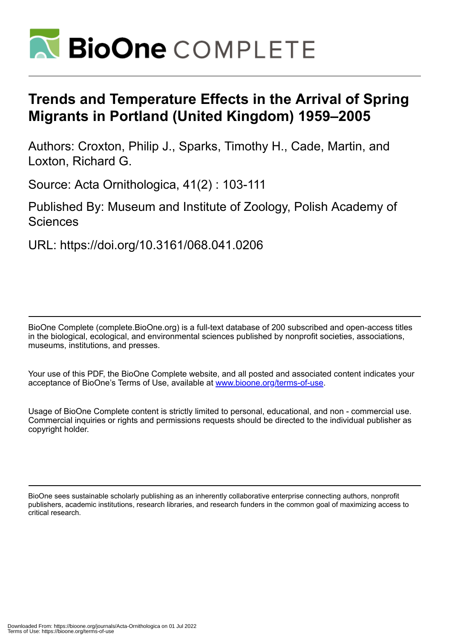

# **Trends and Temperature Effects in the Arrival of Spring Migrants in Portland (United Kingdom) 1959–2005**

Authors: Croxton, Philip J., Sparks, Timothy H., Cade, Martin, and Loxton, Richard G.

Source: Acta Ornithologica, 41(2) : 103-111

Published By: Museum and Institute of Zoology, Polish Academy of **Sciences** 

URL: https://doi.org/10.3161/068.041.0206

BioOne Complete (complete.BioOne.org) is a full-text database of 200 subscribed and open-access titles in the biological, ecological, and environmental sciences published by nonprofit societies, associations, museums, institutions, and presses.

Your use of this PDF, the BioOne Complete website, and all posted and associated content indicates your acceptance of BioOne's Terms of Use, available at www.bioone.org/terms-of-use.

Usage of BioOne Complete content is strictly limited to personal, educational, and non - commercial use. Commercial inquiries or rights and permissions requests should be directed to the individual publisher as copyright holder.

BioOne sees sustainable scholarly publishing as an inherently collaborative enterprise connecting authors, nonprofit publishers, academic institutions, research libraries, and research funders in the common goal of maximizing access to critical research.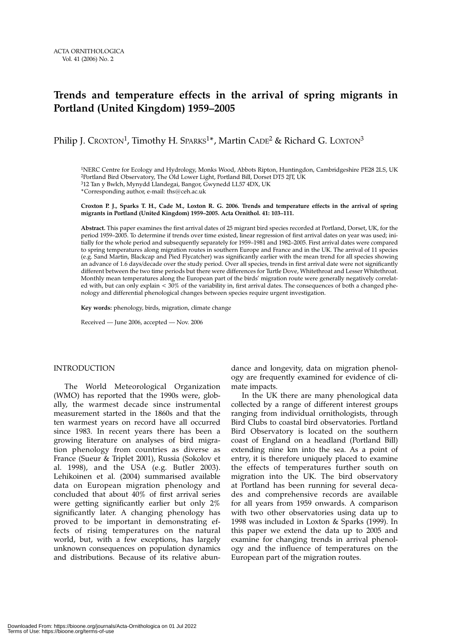# **Trends and temperature effects in the arrival of spring migrants in Portland (United Kingdom) 1959–2005**

Philip J. CROXTON<sup>1</sup>, Timothy H. SPARKS<sup>1\*</sup>, Martin CADE<sup>2</sup> & Richard G. LOXTON<sup>3</sup>

1NERC Centre for Ecology and Hydrology, Monks Wood, Abbots Ripton, Huntingdon, Cambridgeshire PE28 2LS, UK 2Portland Bird Observatory, The Old Lower Light, Portland Bill, Dorset DT5 2JT, UK

312 Tan y Bwlch, Mynydd Llandegai, Bangor, Gwynedd LL57 4DX, UK

\*Corresponding author, e-mail: ths@ceh.ac.uk

**Croxton P. J., Sparks T. H., Cade M., Loxton R. G. 2006. Trends and temperature effects in the arrival of spring migrants in Portland (United Kingdom) 1959–2005. Acta Ornithol. 41: 103–111.**

**Abstract.** This paper examines the first arrival dates of 25 migrant bird species recorded at Portland, Dorset, UK, for the period 1959–2005. To determine if trends over time existed, linear regression of first arrival dates on year was used; initially for the whole period and subsequently separately for 1959–1981 and 1982–2005. First arrival dates were compared to spring temperatures along migration routes in southern Europe and France and in the UK. The arrival of 11 species (e.g. Sand Martin, Blackcap and Pied Flycatcher) was significantly earlier with the mean trend for all species showing an advance of 1.6 days/decade over the study period. Over all species, trends in first arrival date were not significantly different between the two time periods but there were differences for Turtle Dove, Whitethroat and Lesser Whitethroat. Monthly mean temperatures along the European part of the birds' migration route were generally negatively correlated with, but can only explain < 30% of the variability in, first arrival dates. The consequences of both a changed phenology and differential phenological changes between species require urgent investigation.

**Key words:** phenology, birds, migration, climate change

Received — June 2006, accepted — Nov. 2006

#### INTRODUCTION

The World Meteorological Organization (WMO) has reported that the 1990s were, globally, the warmest decade since instrumental measurement started in the 1860s and that the ten warmest years on record have all occurred since 1983. In recent years there has been a growing literature on analyses of bird migration phenology from countries as diverse as France (Sueur & Triplet 2001), Russia (Sokolov et al. 1998), and the USA (e.g. Butler 2003). Lehikoinen et al. (2004) summarised available data on European migration phenology and concluded that about 40% of first arrival series were getting significantly earlier but only 2% significantly later. A changing phenology has proved to be important in demonstrating effects of rising temperatures on the natural world, but, with a few exceptions, has largely unknown consequences on population dynamics and distributions. Because of its relative abundance and longevity, data on migration phenology are frequently examined for evidence of climate impacts.

In the UK there are many phenological data collected by a range of different interest groups ranging from individual ornithologists, through Bird Clubs to coastal bird observatories. Portland Bird Observatory is located on the southern coast of England on a headland (Portland Bill) extending nine km into the sea. As a point of entry, it is therefore uniquely placed to examine the effects of temperatures further south on migration into the UK. The bird observatory at Portland has been running for several decades and comprehensive records are available for all years from 1959 onwards. A comparison with two other observatories using data up to 1998 was included in Loxton & Sparks (1999). In this paper we extend the data up to 2005 and examine for changing trends in arrival phenology and the influence of temperatures on the European part of the migration routes.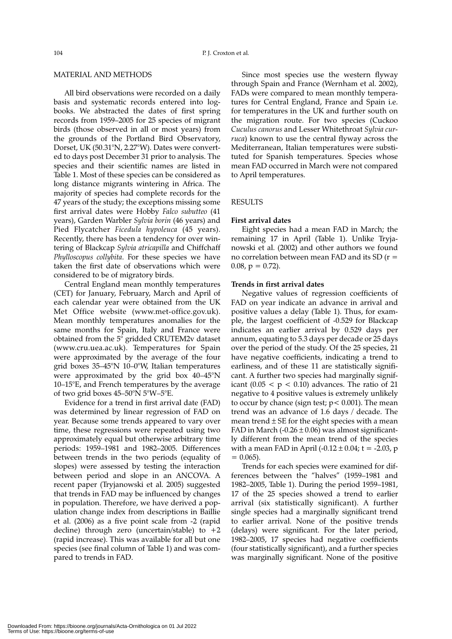# MATERIAL AND METHODS

All bird observations were recorded on a daily basis and systematic records entered into logbooks. We abstracted the dates of first spring records from 1959–2005 for 25 species of migrant birds (those observed in all or most years) from the grounds of the Portland Bird Observatory, Dorset, UK (50.31°N, 2.27°W). Dates were converted to days post December 31 prior to analysis. The species and their scientific names are listed in Table 1. Most of these species can be considered as long distance migrants wintering in Africa. The majority of species had complete records for the 47 years of the study; the exceptions missing some first arrival dates were Hobby *Falco subutteo* (41 years), Garden Warbler *Sylvia borin* (46 years) and Pied Flycatcher *Ficedula hypoleuca* (45 years). Recently, there has been a tendency for over wintering of Blackcap *Sylvia atricapilla* and Chiffchaff *Phylloscopus collybita*. For these species we have taken the first date of observations which were considered to be of migratory birds.

Central England mean monthly temperatures (CET) for January, February, March and April of each calendar year were obtained from the UK Met Office website (www.met-office.gov.uk). Mean monthly temperatures anomalies for the same months for Spain, Italy and France were obtained from the 5° gridded CRUTEM2v dataset (www.cru.uea.ac.uk). Temperatures for Spain were approximated by the average of the four grid boxes 35–45°N 10–0°W, Italian temperatures were approximated by the grid box 40–45°N 10–15°E, and French temperatures by the average of two grid boxes 45–50°N 5°W–5°E.

Evidence for a trend in first arrival date (FAD) was determined by linear regression of FAD on year. Because some trends appeared to vary over time, these regressions were repeated using two approximately equal but otherwise arbitrary time periods: 1959–1981 and 1982–2005. Differences between trends in the two periods (equality of slopes) were assessed by testing the interaction between period and slope in an ANCOVA. A recent paper (Tryjanowski et al. 2005) suggested that trends in FAD may be influenced by changes in population. Therefore, we have derived a population change index from descriptions in Baillie et al. (2006) as a five point scale from -2 (rapid decline) through zero (uncertain/stable) to  $+2$ (rapid increase). This was available for all but one species (see final column of Table 1) and was compared to trends in FAD.

Since most species use the western flyway through Spain and France (Wernham et al. 2002), FADs were compared to mean monthly temperatures for Central England, France and Spain i.e. for temperatures in the UK and further south on the migration route. For two species (Cuckoo *Cuculus canorus* and Lesser Whitethroat *Sylvia curruca*) known to use the central flyway across the Mediterranean, Italian temperatures were substituted for Spanish temperatures. Species whose mean FAD occurred in March were not compared to April temperatures.

## RESULTS

#### **First arrival dates**

Eight species had a mean FAD in March; the remaining 17 in April (Table 1). Unlike Tryjanowski et al. (2002) and other authors we found no correlation between mean FAD and its SD (r = 0.08,  $p = 0.72$ ).

## **Trends in first arrival dates**

Negative values of regression coefficients of FAD on year indicate an advance in arrival and positive values a delay (Table 1). Thus, for example, the largest coefficient of -0.529 for Blackcap indicates an earlier arrival by 0.529 days per annum, equating to 5.3 days per decade or 25 days over the period of the study. Of the 25 species, 21 have negative coefficients, indicating a trend to earliness, and of these 11 are statistically significant. A further two species had marginally significant (0.05  $\lt p \lt 0.10$ ) advances. The ratio of 21 negative to 4 positive values is extremely unlikely to occur by chance (sign test;  $p < 0.001$ ). The mean trend was an advance of 1.6 days / decade. The mean trend  $\pm$  SE for the eight species with a mean FAD in March (- $0.26 \pm 0.06$ ) was almost significantly different from the mean trend of the species with a mean FAD in April (-0.12  $\pm$  0.04; t = -2.03, p  $= 0.065$ ).

Trends for each species were examined for differences between the "halves" (1959–1981 and 1982–2005, Table 1). During the period 1959–1981, 17 of the 25 species showed a trend to earlier arrival (six statistically significant). A further single species had a marginally significant trend to earlier arrival. None of the positive trends (delays) were significant. For the later period, 1982–2005, 17 species had negative coefficients (four statistically significant), and a further species was marginally significant. None of the positive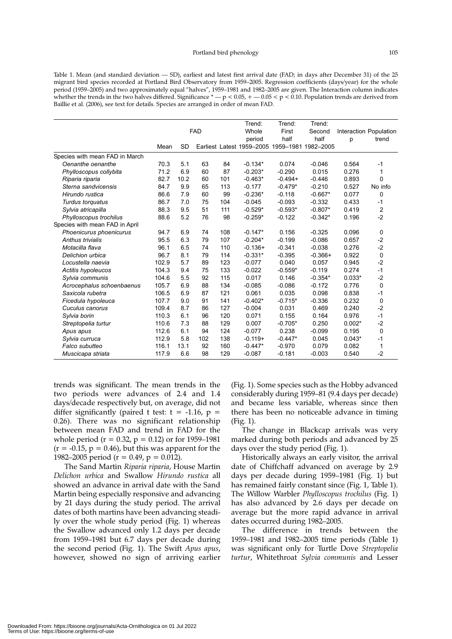Table 1. Mean (and standard deviation — SD), earliest and latest first arrival date (FAD; in days after December 31) of the 25 migrant bird species recorded at Portland Bird Observatory from 1959–2005. Regression coefficients (days/year) for the whole period (1959–2005) and two approximately equal "halves", 1959–1981 and 1982–2005 are given. The Interaction column indicates whether the trends in the two halves differed. Significance  $* - p < 0.05$ ,  $+ -0.05 < p < 0.10$ . Population trends are derived from Baillie et al. (2006), see text for details. Species are arranged in order of mean FAD.

|                                |       |           | <b>FAD</b> |     | Trend:<br>Whole<br>period                     | Trend:<br>First<br>half | Trend:<br>Second<br>half | p        | Interaction Population<br>trend |
|--------------------------------|-------|-----------|------------|-----|-----------------------------------------------|-------------------------|--------------------------|----------|---------------------------------|
|                                | Mean  | <b>SD</b> |            |     | Earliest Latest 1959-2005 1959-1981 1982-2005 |                         |                          |          |                                 |
| Species with mean FAD in March |       |           |            |     |                                               |                         |                          |          |                                 |
| Oenanthe oenanthe              | 70.3  | 5.1       | 63         | 84  | $-0.134*$                                     | 0.074                   | $-0.046$                 | 0.564    | $-1$                            |
| Phylloscopus collybita         | 71.2  | 6.9       | 60         | 87  | $-0.203*$                                     | $-0.290$                | 0.015                    | 0.276    | $\mathbf{1}$                    |
| Riparia riparia                | 82.7  | 10.2      | 60         | 101 | $-0.463*$                                     | $-0.494+$               | $-0.446$                 | 0.893    | $\Omega$                        |
| Sterna sandvicensis            | 84.7  | 9.9       | 65         | 113 | $-0.177$                                      | $-0.479*$               | $-0.210$                 | 0.527    | No info                         |
| Hirundo rustica                | 86.6  | 7.9       | 60         | 99  | $-0.236*$                                     | $-0.118$                | $-0.667*$                | 0.077    | 0                               |
| Turdus torquatus               | 86.7  | 7.0       | 75         | 104 | $-0.045$                                      | $-0.093$                | $-0.332$                 | 0.433    | $-1$                            |
| Sylvia atricapilla             | 88.3  | 9.5       | 51         | 111 | $-0.529*$                                     | $-0.593*$               | $-0.807*$                | 0.419    | $\overline{\mathbf{c}}$         |
| Phylloscopus trochilus         | 88.6  | 5.2       | 76         | 98  | $-0.259*$                                     | $-0.122$                | $-0.342*$                | 0.196    | $-2$                            |
| Species with mean FAD in April |       |           |            |     |                                               |                         |                          |          |                                 |
| Phoenicurus phoenicurus        | 94.7  | 6.9       | 74         | 108 | $-0.147*$                                     | 0.156                   | $-0.325$                 | 0.096    | 0                               |
| Anthus trivialis               | 95.5  | 6.3       | 79         | 107 | $-0.204*$                                     | $-0.199$                | $-0.086$                 | 0.657    | $-2$                            |
| Motacilla flava                | 96.1  | 6.5       | 74         | 110 | $-0.136+$                                     | $-0.341$                | $-0.038$                 | 0.276    | $-2$                            |
| Delichion urbica               | 96.7  | 8.1       | 79         | 114 | $-0.331*$                                     | $-0.395$                | $-0.366+$                | 0.922    | $\pmb{0}$                       |
| Locustella naevia              | 102.9 | 5.7       | 89         | 123 | $-0.077$                                      | 0.040                   | 0.057                    | 0.945    | $-2$                            |
| Actitis hypoleucos             | 104.3 | 9.4       | 75         | 133 | $-0.022$                                      | $-0.559*$               | $-0.119$                 | 0.274    | $-1$                            |
| Sylvia communis                | 104.6 | 5.5       | 92         | 115 | 0.017                                         | 0.146                   | $-0.354*$                | $0.033*$ | $-2$                            |
| Acrocephalus schoenbaenus      | 105.7 | 6.9       | 88         | 134 | $-0.085$                                      | $-0.086$                | $-0.172$                 | 0.776    | 0                               |
| Saxicola rubetra               | 106.5 | 6.9       | 87         | 121 | 0.061                                         | 0.035                   | 0.098                    | 0.838    | $-1$                            |
| Ficedula hypoleuca             | 107.7 | 9.0       | 91         | 141 | $-0.402*$                                     | $-0.715*$               | $-0.336$                 | 0.232    | 0                               |
| Cuculus canorus                | 109.4 | 8.7       | 86         | 127 | $-0.004$                                      | 0.031                   | 0.469                    | 0.240    | $-2$                            |
| Sylvia borin                   | 110.3 | 6.1       | 96         | 120 | 0.071                                         | 0.155                   | 0.164                    | 0.976    | $-1$                            |
| Streptopelia turtur            | 110.6 | 7.3       | 88         | 129 | 0.007                                         | $-0.705*$               | 0.250                    | $0.002*$ | $-2$                            |
| Apus apus                      | 112.6 | 6.1       | 94         | 124 | $-0.077$                                      | 0.238                   | $-0.099$                 | 0.195    | 0                               |
| Sylvia curruca                 | 112.9 | 5.8       | 102        | 138 | $-0.119+$                                     | $-0.447*$               | 0.045                    | $0.043*$ | $-1$                            |
| Falco subutteo                 | 116.1 | 13.1      | 92         | 160 | $-0.447*$                                     | $-0.970$                | 0.079                    | 0.082    | 1                               |
| Muscicapa striata              | 117.9 | 6.6       | 98         | 129 | $-0.087$                                      | $-0.181$                | $-0.003$                 | 0.540    | $-2$                            |

trends was significant. The mean trends in the two periods were advances of 2.4 and 1.4 days/decade respectively but, on average, did not differ significantly (paired t test:  $t = -1.16$ ,  $p =$ 0.26). There was no significant relationship between mean FAD and trend in FAD for the whole period ( $r = 0.32$ ,  $p = 0.12$ ) or for 1959–1981  $(r = -0.15, p = 0.46)$ , but this was apparent for the 1982–2005 period ( $r = 0.49$ ,  $p = 0.012$ ).

The Sand Martin *Riparia riparia*, House Martin *Delichon urbica* and Swallow *Hirundo rustica* all showed an advance in arrival date with the Sand Martin being especially responsive and advancing by 21 days during the study period. The arrival dates of both martins have been advancing steadily over the whole study period (Fig. 1) whereas the Swallow advanced only 1.2 days per decade from 1959–1981 but 6.7 days per decade during the second period (Fig. 1). The Swift *Apus apus*, however, showed no sign of arriving earlier (Fig. 1). Some species such as the Hobby advanced considerably during 1959–81 (9.4 days per decade) and became less variable, whereas since then there has been no noticeable advance in timing (Fig. 1).

The change in Blackcap arrivals was very marked during both periods and advanced by 25 days over the study period (Fig. 1).

Historically always an early visitor, the arrival date of Chiffchaff advanced on average by 2.9 days per decade during 1959–1981 (Fig. 1) but has remained fairly constant since (Fig. 1, Table 1). The Willow Warbler *Phylloscopus trochilus* (Fig. 1) has also advanced by 2.6 days per decade on average but the more rapid advance in arrival dates occurred during 1982–2005.

The difference in trends between the 1959–1981 and 1982–2005 time periods (Table 1) was significant only for Turtle Dove *Streptopelia turtur*, Whitethroat *Sylvia communis* and Lesser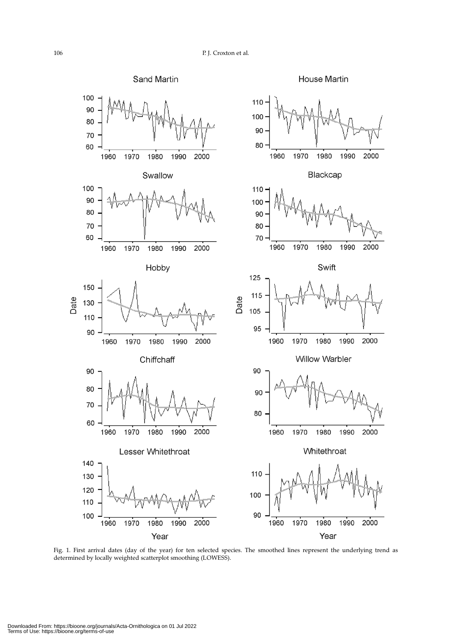

Fig. 1. First arrival dates (day of the year) for ten selected species. The smoothed lines represent the underlying trend as determined by locally weighted scatterplot smoothing (LOWESS).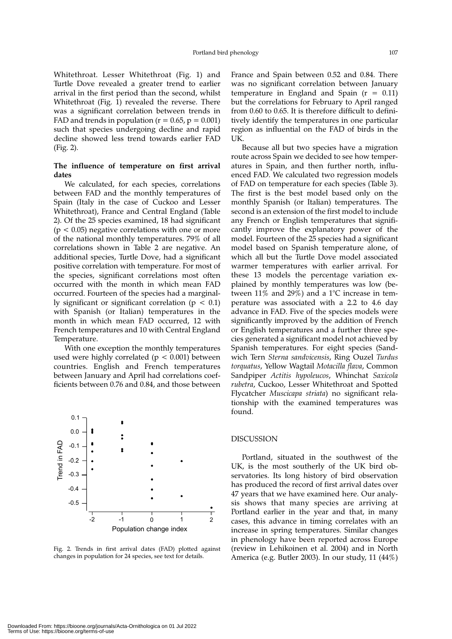Whitethroat. Lesser Whitethroat (Fig. 1) and Turtle Dove revealed a greater trend to earlier arrival in the first period than the second, whilst Whitethroat (Fig. 1) revealed the reverse. There was a significant correlation between trends in FAD and trends in population ( $r = 0.65$ ,  $p = 0.001$ ) such that species undergoing decline and rapid decline showed less trend towards earlier FAD (Fig. 2).

# **The influence of temperature on first arrival dates**

We calculated, for each species, correlations between FAD and the monthly temperatures of Spain (Italy in the case of Cuckoo and Lesser Whitethroat), France and Central England (Table 2). Of the 25 species examined, 18 had significant  $(p < 0.05)$  negative correlations with one or more of the national monthly temperatures. 79% of all correlations shown in Table 2 are negative. An additional species, Turtle Dove, had a significant positive correlation with temperature. For most of the species, significant correlations most often occurred with the month in which mean FAD occurred. Fourteen of the species had a marginally significant or significant correlation ( $p < 0.1$ ) with Spanish (or Italian) temperatures in the month in which mean FAD occurred, 12 with French temperatures and 10 with Central England Temperature.

With one exception the monthly temperatures used were highly correlated ( $p < 0.001$ ) between countries. English and French temperatures between January and April had correlations coefficients between 0.76 and 0.84, and those between



Fig. 2. Trends in first arrival dates (FAD) plotted against changes in population for 24 species, see text for details.

France and Spain between 0.52 and 0.84. There was no significant correlation between January temperature in England and Spain  $(r = 0.11)$ but the correlations for February to April ranged from 0.60 to 0.65. It is therefore difficult to definitively identify the temperatures in one particular region as influential on the FAD of birds in the UK.

Because all but two species have a migration route across Spain we decided to see how temperatures in Spain, and then further north, influenced FAD. We calculated two regression models of FAD on temperature for each species (Table 3). The first is the best model based only on the monthly Spanish (or Italian) temperatures. The second is an extension of the first model to include any French or English temperatures that significantly improve the explanatory power of the model. Fourteen of the 25 species had a significant model based on Spanish temperature alone, of which all but the Turtle Dove model associated warmer temperatures with earlier arrival. For these 13 models the percentage variation explained by monthly temperatures was low (between 11% and 29%) and a 1°C increase in temperature was associated with a 2.2 to 4.6 day advance in FAD. Five of the species models were significantly improved by the addition of French or English temperatures and a further three species generated a significant model not achieved by Spanish temperatures. For eight species (Sandwich Tern *Sterna sandvicensis*, Ring Ouzel *Turdus torquatus*, Yellow Wagtail *Motacilla flava*, Common Sandpiper *Actitis hypoleucos*, Whinchat *Saxicola rubetra*, Cuckoo, Lesser Whitethroat and Spotted Flycatcher *Muscicapa striata*) no significant relationship with the examined temperatures was found.

#### DISCUSSION

Portland, situated in the southwest of the UK, is the most southerly of the UK bird observatories. Its long history of bird observation has produced the record of first arrival dates over 47 years that we have examined here. Our analysis shows that many species are arriving at Portland earlier in the year and that, in many cases, this advance in timing correlates with an increase in spring temperatures. Similar changes in phenology have been reported across Europe (review in Lehikoinen et al. 2004) and in North America (e.g. Butler 2003). In our study, 11 (44%)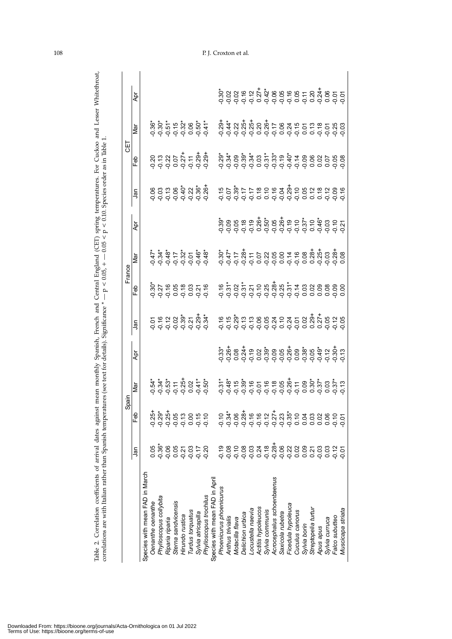|                                |                                                                                                                                                                                                                                                                    |           | Spain                                                    |                                                                                         |    |                                                    | France                                                                                                                                                                                                                                                                                                                                                                                                                                                          |                                                                                   |                                                                                                                                                                                                                                                                                                                              | 130                                                                                                                                                                                                                                                                                                                                                                                                                                                                                              |     |     |
|--------------------------------|--------------------------------------------------------------------------------------------------------------------------------------------------------------------------------------------------------------------------------------------------------------------|-----------|----------------------------------------------------------|-----------------------------------------------------------------------------------------|----|----------------------------------------------------|-----------------------------------------------------------------------------------------------------------------------------------------------------------------------------------------------------------------------------------------------------------------------------------------------------------------------------------------------------------------------------------------------------------------------------------------------------------------|-----------------------------------------------------------------------------------|------------------------------------------------------------------------------------------------------------------------------------------------------------------------------------------------------------------------------------------------------------------------------------------------------------------------------|--------------------------------------------------------------------------------------------------------------------------------------------------------------------------------------------------------------------------------------------------------------------------------------------------------------------------------------------------------------------------------------------------------------------------------------------------------------------------------------------------|-----|-----|
|                                | Ξã                                                                                                                                                                                                                                                                 | e9⊒       | ∏ar                                                      | Ąpr                                                                                     | ٩ë | e9⊒                                                | ⊼<br>⊠                                                                                                                                                                                                                                                                                                                                                                                                                                                          | Āpr                                                                               | <b>Jan</b>                                                                                                                                                                                                                                                                                                                   | 운<br>도                                                                                                                                                                                                                                                                                                                                                                                                                                                                                           | Nar | Ąpr |
| Species with mean FAD in March |                                                                                                                                                                                                                                                                    |           |                                                          |                                                                                         |    |                                                    |                                                                                                                                                                                                                                                                                                                                                                                                                                                                 |                                                                                   |                                                                                                                                                                                                                                                                                                                              |                                                                                                                                                                                                                                                                                                                                                                                                                                                                                                  |     |     |
| Oenanthe oenanthe              | 0.05                                                                                                                                                                                                                                                               | $-0.25 +$ |                                                          |                                                                                         |    |                                                    |                                                                                                                                                                                                                                                                                                                                                                                                                                                                 |                                                                                   |                                                                                                                                                                                                                                                                                                                              |                                                                                                                                                                                                                                                                                                                                                                                                                                                                                                  |     |     |
| Phylloscopus collybita         | $-0.36*$                                                                                                                                                                                                                                                           | $-0.29*$  |                                                          |                                                                                         |    |                                                    |                                                                                                                                                                                                                                                                                                                                                                                                                                                                 |                                                                                   |                                                                                                                                                                                                                                                                                                                              |                                                                                                                                                                                                                                                                                                                                                                                                                                                                                                  |     |     |
| Riparia riparia                | $-0.06$                                                                                                                                                                                                                                                            | $-0.25 +$ |                                                          |                                                                                         |    |                                                    |                                                                                                                                                                                                                                                                                                                                                                                                                                                                 |                                                                                   |                                                                                                                                                                                                                                                                                                                              |                                                                                                                                                                                                                                                                                                                                                                                                                                                                                                  |     |     |
| Sterna sandvicensis            | 0.05                                                                                                                                                                                                                                                               | $-0.05$   |                                                          |                                                                                         |    |                                                    |                                                                                                                                                                                                                                                                                                                                                                                                                                                                 |                                                                                   |                                                                                                                                                                                                                                                                                                                              |                                                                                                                                                                                                                                                                                                                                                                                                                                                                                                  |     |     |
| Hirundo rustica                | $-0.21$                                                                                                                                                                                                                                                            | $-0.13$   |                                                          |                                                                                         |    |                                                    |                                                                                                                                                                                                                                                                                                                                                                                                                                                                 |                                                                                   |                                                                                                                                                                                                                                                                                                                              |                                                                                                                                                                                                                                                                                                                                                                                                                                                                                                  |     |     |
| Turdus torquatus               | $-0.03$                                                                                                                                                                                                                                                            | 0.00      |                                                          |                                                                                         |    |                                                    |                                                                                                                                                                                                                                                                                                                                                                                                                                                                 |                                                                                   |                                                                                                                                                                                                                                                                                                                              |                                                                                                                                                                                                                                                                                                                                                                                                                                                                                                  |     |     |
| Sylvia atricapilla             | $-0.17$                                                                                                                                                                                                                                                            | $-0.15$   |                                                          |                                                                                         |    |                                                    |                                                                                                                                                                                                                                                                                                                                                                                                                                                                 |                                                                                   |                                                                                                                                                                                                                                                                                                                              |                                                                                                                                                                                                                                                                                                                                                                                                                                                                                                  |     |     |
| Phylloscopus trochilus         | $-0.20$                                                                                                                                                                                                                                                            | $-0.10$   | \$<br>\$\$\$\$ = \$Q \$ \$ \$<br>\$ \$ \$ \$ \$ \$ \$ \$ |                                                                                         |    |                                                    | * * * * ~ * * ~ * * *<br>* * * ~ ~ ~ ~ * * *<br>? ? ? ? ? ? ? ?                                                                                                                                                                                                                                                                                                                                                                                                 |                                                                                   | $\begin{array}{l} 0 & 0 & 0 & 0 & 0 \\ 0 & 0 & 0 & 0 & 0 \\ 0 & 0 & 0 & 0 & 0 \\ 0 & 0 & 0 & 0 & 0 \\ 0 & 0 & 0 & 0 & 0 \\ 0 & 0 & 0 & 0 & 0 \\ 0 & 0 & 0 & 0 & 0 \\ 0 & 0 & 0 & 0 & 0 \\ 0 & 0 & 0 & 0 & 0 \\ 0 & 0 & 0 & 0 & 0 \\ 0 & 0 & 0 & 0 & 0 \\ 0 & 0 & 0 & 0 & 0 \\ 0 & 0 & 0 & 0 & 0 \\ 0 & 0 & 0 & 0 & 0 \\ 0 &$ | $\begin{array}{l} \n 8 \stackrel{10}{\phantom{}_{\smile}} \stackrel{10}{\phantom{}_{\smile}} \stackrel{10}{\phantom{}_{\smile}} \stackrel{10}{\phantom{}_{\smile}} \stackrel{10}{\phantom{}_{\smile}} \stackrel{10}{\phantom{}_{\smile}} \stackrel{10}{\phantom{}_{\smile}} \stackrel{10}{\phantom{}_{\smile}} \stackrel{10}{\phantom{}_{\smile}} \stackrel{10}{\phantom{}_{\smile}} \stackrel{10}{\phantom{}_{\smile}} \stackrel{10}{\phantom{}_{\smile}} \stackrel{10}{\phantom{}_{\smile}} \$ |     |     |
| Species with mean FAD in April |                                                                                                                                                                                                                                                                    |           |                                                          |                                                                                         |    |                                                    |                                                                                                                                                                                                                                                                                                                                                                                                                                                                 |                                                                                   |                                                                                                                                                                                                                                                                                                                              |                                                                                                                                                                                                                                                                                                                                                                                                                                                                                                  |     |     |
| Phoenicurus phoenicurus        | $-0.19$                                                                                                                                                                                                                                                            | $-0.10$   |                                                          |                                                                                         |    |                                                    |                                                                                                                                                                                                                                                                                                                                                                                                                                                                 |                                                                                   |                                                                                                                                                                                                                                                                                                                              |                                                                                                                                                                                                                                                                                                                                                                                                                                                                                                  |     |     |
| Anthus trivialis               |                                                                                                                                                                                                                                                                    | $-0.34*$  |                                                          |                                                                                         |    |                                                    |                                                                                                                                                                                                                                                                                                                                                                                                                                                                 |                                                                                   |                                                                                                                                                                                                                                                                                                                              |                                                                                                                                                                                                                                                                                                                                                                                                                                                                                                  |     |     |
| Motacilla flava                |                                                                                                                                                                                                                                                                    | $-0.06$   |                                                          |                                                                                         |    |                                                    |                                                                                                                                                                                                                                                                                                                                                                                                                                                                 |                                                                                   |                                                                                                                                                                                                                                                                                                                              |                                                                                                                                                                                                                                                                                                                                                                                                                                                                                                  |     |     |
| Delichion urbica               | $8288$<br>$9999$                                                                                                                                                                                                                                                   | $-0.28 +$ | ႜႅၞၷၞဵၑၜၟၛၟၣၛၟႜၛၛၟၛၟႜၣၜၜၟၟၯၟၯၟၯ<br>ၟၣၛၟၣၛၟၣၣၣၣၣၣၣၣၣၣၣၣ   | \$\\$&\$\$@&\$@\$@\$@\$\$\$\$?<br>\$\\$@\$\$@&\$@\$@\$@\$\$\$\$<br>\$\$@\$\$@\$\$@\$@\$ |    | ڥ ؿٙ<br>؋ ؿٙ؋ ؿٙ ؾڔ ؋ ؋؋؋؋؋؋؋؋؋؋؋؋<br>؋؋؋؋؋؋؋؋؋؋؋؋ | $\begin{array}{l} \mathfrak{F}, \mathfrak{F} \vdash \mathfrak{F}, \mathfrak{F} \vdash \mathfrak{F}, \mathfrak{F} \vdash \mathfrak{F}, \mathfrak{H} \otimes \mathfrak{F}, \mathfrak{F} \vdash \mathfrak{F}, \mathfrak{F} \vdash \mathfrak{F}, \mathfrak{F} \vdash \mathfrak{F}, \mathfrak{F} \vdash \mathfrak{F}, \mathfrak{F} \vdash \mathfrak{F}, \mathfrak{F} \vdash \mathfrak{F}, \mathfrak{F} \vdash \mathfrak{F}, \mathfrak{F} \vdash \mathfrak{F}, \math$ | စ္ပ်ံ<br>စီတီအဆင့် အိုင်းမြစ်ပါး ချင်းနှင့် အခင်း<br>စီဝီဝီဝီဝီဝီဝီဝီဝီဝီဝီဝီဝီဝီ | ゚゚゚゠ゟ゙゙ゕ゚ゖゖヹヮゖヸゟヹ゚ゖゖゖゖゖ<br>ゖ゙ゟゕ゙ゖゖヹゖヹゖヸゖ゚ゖゖゖゖゖゖゖ<br>゙゚ゖゖゖゖゖゖゖゖゖゖゖゖゖゖゖ                                                                                                                                                                                                                                                        | .<br>8 8 9 9 9 9 9 9 9 9 9 9 9 9 9 9 9 9<br>9 9 9 9 9 9 9 9 9 9 9 9 9 9 9 9 9                                                                                                                                                                                                                                                                                                                                                                                                                    |     |     |
| Locustella naevia              |                                                                                                                                                                                                                                                                    | $-0.16$   |                                                          |                                                                                         |    |                                                    |                                                                                                                                                                                                                                                                                                                                                                                                                                                                 |                                                                                   |                                                                                                                                                                                                                                                                                                                              |                                                                                                                                                                                                                                                                                                                                                                                                                                                                                                  |     |     |
| Actitis hypoleucos             | $0.78 + 0.28 + 0.28 + 0.28 + 0.28 + 0.28 + 0.28 + 0.28 + 0.28 + 0.28 + 0.28 + 0.28 + 0.28 + 0.28 + 0.28 + 0.28 + 0.28 + 0.28 + 0.28 + 0.28 + 0.28 + 0.28 + 0.28 + 0.28 + 0.28 + 0.28 + 0.28 + 0.28 + 0.28 + 0.28 + 0.28 + 0.28 + 0.28 + 0.28 + 0.28 + 0.28 + 0.28$ | $-0.16$   |                                                          |                                                                                         |    |                                                    |                                                                                                                                                                                                                                                                                                                                                                                                                                                                 |                                                                                   |                                                                                                                                                                                                                                                                                                                              |                                                                                                                                                                                                                                                                                                                                                                                                                                                                                                  |     |     |
| Sylvia communis                |                                                                                                                                                                                                                                                                    | $-0.12$   |                                                          |                                                                                         |    |                                                    |                                                                                                                                                                                                                                                                                                                                                                                                                                                                 |                                                                                   |                                                                                                                                                                                                                                                                                                                              |                                                                                                                                                                                                                                                                                                                                                                                                                                                                                                  |     |     |
| Acrocephalus schoenbaenus      |                                                                                                                                                                                                                                                                    | $-0.27 +$ |                                                          |                                                                                         |    |                                                    |                                                                                                                                                                                                                                                                                                                                                                                                                                                                 |                                                                                   |                                                                                                                                                                                                                                                                                                                              |                                                                                                                                                                                                                                                                                                                                                                                                                                                                                                  |     |     |
| Saxicola rubetra               | $-0.06$                                                                                                                                                                                                                                                            | $-0.23$   |                                                          |                                                                                         |    |                                                    |                                                                                                                                                                                                                                                                                                                                                                                                                                                                 |                                                                                   |                                                                                                                                                                                                                                                                                                                              |                                                                                                                                                                                                                                                                                                                                                                                                                                                                                                  |     |     |
| Ficedula hypoleuca             | $-0.22$                                                                                                                                                                                                                                                            | $-0.35*$  |                                                          |                                                                                         |    |                                                    |                                                                                                                                                                                                                                                                                                                                                                                                                                                                 |                                                                                   |                                                                                                                                                                                                                                                                                                                              |                                                                                                                                                                                                                                                                                                                                                                                                                                                                                                  |     |     |
| Cuculus canorus                | $\begin{array}{c} 0.02 \\ 0.09 \end{array}$                                                                                                                                                                                                                        | 0.10      |                                                          |                                                                                         |    |                                                    |                                                                                                                                                                                                                                                                                                                                                                                                                                                                 |                                                                                   |                                                                                                                                                                                                                                                                                                                              |                                                                                                                                                                                                                                                                                                                                                                                                                                                                                                  |     |     |
| Sylvia borin                   |                                                                                                                                                                                                                                                                    | 0.04      |                                                          |                                                                                         |    |                                                    |                                                                                                                                                                                                                                                                                                                                                                                                                                                                 |                                                                                   |                                                                                                                                                                                                                                                                                                                              |                                                                                                                                                                                                                                                                                                                                                                                                                                                                                                  |     |     |
| Streptopelia turtur            | 0.21                                                                                                                                                                                                                                                               | 0.03      |                                                          |                                                                                         |    |                                                    |                                                                                                                                                                                                                                                                                                                                                                                                                                                                 |                                                                                   |                                                                                                                                                                                                                                                                                                                              |                                                                                                                                                                                                                                                                                                                                                                                                                                                                                                  |     |     |
| Apus apus                      | $-0.03$                                                                                                                                                                                                                                                            | 0.02      |                                                          |                                                                                         |    |                                                    |                                                                                                                                                                                                                                                                                                                                                                                                                                                                 |                                                                                   |                                                                                                                                                                                                                                                                                                                              |                                                                                                                                                                                                                                                                                                                                                                                                                                                                                                  |     |     |
| Sylvia curruca                 | 0.03                                                                                                                                                                                                                                                               | 0.06      |                                                          |                                                                                         |    |                                                    |                                                                                                                                                                                                                                                                                                                                                                                                                                                                 |                                                                                   |                                                                                                                                                                                                                                                                                                                              |                                                                                                                                                                                                                                                                                                                                                                                                                                                                                                  |     |     |
| Falco subutteo                 | $0.12$<br>$0.07$                                                                                                                                                                                                                                                   | 0.50      |                                                          |                                                                                         |    |                                                    |                                                                                                                                                                                                                                                                                                                                                                                                                                                                 |                                                                                   |                                                                                                                                                                                                                                                                                                                              |                                                                                                                                                                                                                                                                                                                                                                                                                                                                                                  |     |     |
| Muscicapa striata              |                                                                                                                                                                                                                                                                    |           |                                                          |                                                                                         |    |                                                    |                                                                                                                                                                                                                                                                                                                                                                                                                                                                 |                                                                                   |                                                                                                                                                                                                                                                                                                                              |                                                                                                                                                                                                                                                                                                                                                                                                                                                                                                  |     |     |

108 P. J. Croxton et al.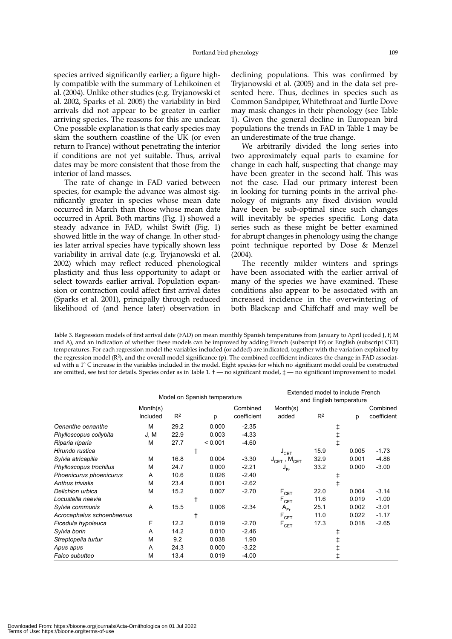species arrived significantly earlier; a figure highly compatible with the summary of Lehikoinen et al. (2004). Unlike other studies (e.g. Tryjanowski et al. 2002, Sparks et al. 2005) the variability in bird arrivals did not appear to be greater in earlier arriving species. The reasons for this are unclear. One possible explanation is that early species may skim the southern coastline of the UK (or even return to France) without penetrating the interior if conditions are not yet suitable. Thus, arrival dates may be more consistent that those from the interior of land masses.

The rate of change in FAD varied between species, for example the advance was almost significantly greater in species whose mean date occurred in March than those whose mean date occurred in April. Both martins (Fig. 1) showed a steady advance in FAD, whilst Swift (Fig. 1) showed little in the way of change. In other studies later arrival species have typically shown less variability in arrival date (e.g. Tryjanowski et al. 2002) which may reflect reduced phenological plasticity and thus less opportunity to adapt or select towards earlier arrival. Population expansion or contraction could affect first arrival dates (Sparks et al. 2001), principally through reduced likelihood of (and hence later) observation in declining populations. This was confirmed by Tryjanowski et al. (2005) and in the data set presented here. Thus, declines in species such as Common Sandpiper, Whitethroat and Turtle Dove may mask changes in their phenology (see Table 1). Given the general decline in European bird populations the trends in FAD in Table 1 may be an underestimate of the true change.

We arbitrarily divided the long series into two approximately equal parts to examine for change in each half, suspecting that change may have been greater in the second half. This was not the case. Had our primary interest been in looking for turning points in the arrival phenology of migrants any fixed division would have been be sub-optimal since such changes will inevitably be species specific. Long data series such as these might be better examined for abrupt changes in phenology using the change point technique reported by Dose & Menzel (2004).

The recently milder winters and springs have been associated with the earlier arrival of many of the species we have examined. These conditions also appear to be associated with an increased incidence in the overwintering of both Blackcap and Chiffchaff and may well be

Table 3. Regression models of first arrival date (FAD) on mean monthly Spanish temperatures from January to April (coded J, F, M and A), and an indication of whether these models can be improved by adding French (subscript Fr) or English (subscript CET) temperatures. For each regression model the variables included (or added) are indicated, together with the variation explained by the regression model  $(R^2)$ , and the overall model significance (p). The combined coefficient indicates the change in FAD associated with a 1° C increase in the variables included in the model. Eight species for which no significant model could be constructed are omitted, see text for details. Species order as in Table  $1. + -$  no significant model,  $\ddagger$   $-$  no significant improvement to model.

|                           |          |       | Model on Spanish temperature |         |             | Extended model to include French<br>and English temperature |       |   |       |             |  |
|---------------------------|----------|-------|------------------------------|---------|-------------|-------------------------------------------------------------|-------|---|-------|-------------|--|
|                           | Month(s) |       |                              |         | Combined    | Month(s)                                                    |       |   |       | Combined    |  |
|                           | Included | $R^2$ |                              | p       | coefficient | added                                                       | $R^2$ |   | р     | coefficient |  |
| Oenanthe oenanthe         | М        | 29.2  |                              | 0.000   | $-2.35$     |                                                             |       | ŧ |       |             |  |
| Phylloscopus collybita    | J, M     | 22.9  |                              | 0.003   | $-4.33$     |                                                             |       |   |       |             |  |
| Riparia riparia           | М        | 27.7  |                              | < 0.001 | $-4.60$     |                                                             |       | ŧ |       |             |  |
| Hirundo rustica           |          |       |                              |         |             | $J_{CET}$                                                   | 15.9  |   | 0.005 | $-1.73$     |  |
| Sylvia atricapilla        | М        | 16.8  |                              | 0.004   | $-3.30$     | $J_{CET}$ , $M_{CET}$                                       | 32.9  |   | 0.001 | $-4.86$     |  |
| Phylloscopus trochilus    | М        | 24.7  |                              | 0.000   | $-2.21$     | $J_{\mathsf{Fr}}$                                           | 33.2  |   | 0.000 | $-3.00$     |  |
| Phoenicurus phoenicurus   | A        | 10.6  |                              | 0.026   | $-2.40$     |                                                             |       | ŧ |       |             |  |
| Anthus trivialis          | м        | 23.4  |                              | 0.001   | $-2.62$     |                                                             |       | ŧ |       |             |  |
| Delichion urbica          | м        | 15.2  |                              | 0.007   | $-2.70$     | $F_{\texttt{CET}}$                                          | 22.0  |   | 0.004 | $-3.14$     |  |
| Locustella naevia         |          |       |                              |         |             | $F_{CET}$                                                   | 11.6  |   | 0.019 | $-1.00$     |  |
| Sylvia communis           | A        | 15.5  |                              | 0.006   | $-2.34$     | $A_{Fr}$                                                    | 25.1  |   | 0.002 | $-3.01$     |  |
| Acrocephalus schoenbaenus |          |       |                              |         |             | $F_{CET}$                                                   | 11.0  |   | 0.022 | $-1.17$     |  |
| Ficedula hypoleuca        | F        | 12.2  |                              | 0.019   | $-2.70$     | $F_{CET}$                                                   | 17.3  |   | 0.018 | $-2.65$     |  |
| Sylvia borin              | A        | 14.2  |                              | 0.010   | $-2.46$     |                                                             |       | ŧ |       |             |  |
| Streptopelia turtur       | М        | 9.2   |                              | 0.038   | 1.90        |                                                             |       |   |       |             |  |
| Apus apus                 | A        | 24.3  |                              | 0.000   | $-3.22$     |                                                             |       |   |       |             |  |
| Falco subutteo            | М        | 13.4  |                              | 0.019   | $-4.00$     |                                                             |       |   |       |             |  |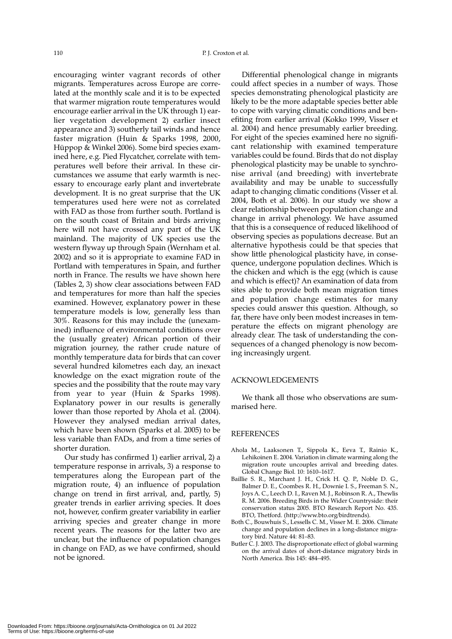encouraging winter vagrant records of other migrants. Temperatures across Europe are correlated at the monthly scale and it is to be expected that warmer migration route temperatures would encourage earlier arrival in the UK through 1) earlier vegetation development 2) earlier insect appearance and 3) southerly tail winds and hence faster migration (Huin & Sparks 1998, 2000, Hüppop & Winkel 2006). Some bird species examined here, e.g. Pied Flycatcher, correlate with temperatures well before their arrival. In these circumstances we assume that early warmth is necessary to encourage early plant and invertebrate development. It is no great surprise that the UK temperatures used here were not as correlated with FAD as those from further south. Portland is on the south coast of Britain and birds arriving here will not have crossed any part of the UK mainland. The majority of UK species use the western flyway up through Spain (Wernham et al. 2002) and so it is appropriate to examine FAD in Portland with temperatures in Spain, and further north in France. The results we have shown here (Tables 2, 3) show clear associations between FAD and temperatures for more than half the species examined. However, explanatory power in these temperature models is low, generally less than 30%. Reasons for this may include the (unexamined) influence of environmental conditions over the (usually greater) African portion of their migration journey, the rather crude nature of monthly temperature data for birds that can cover several hundred kilometres each day, an inexact knowledge on the exact migration route of the species and the possibility that the route may vary from year to year (Huin & Sparks 1998). Explanatory power in our results is generally lower than those reported by Ahola et al. (2004). However they analysed median arrival dates, which have been shown (Sparks et al. 2005) to be less variable than FADs, and from a time series of shorter duration.

Our study has confirmed 1) earlier arrival, 2) a temperature response in arrivals, 3) a response to temperatures along the European part of the migration route, 4) an influence of population change on trend in first arrival, and, partly, 5) greater trends in earlier arriving species. It does not, however, confirm greater variability in earlier arriving species and greater change in more recent years. The reasons for the latter two are unclear, but the influence of population changes in change on FAD, as we have confirmed, should not be ignored.

Differential phenological change in migrants could affect species in a number of ways. Those species demonstrating phenological plasticity are likely to be the more adaptable species better able to cope with varying climatic conditions and benefiting from earlier arrival (Kokko 1999, Visser et al. 2004) and hence presumably earlier breeding. For eight of the species examined here no significant relationship with examined temperature variables could be found. Birds that do not display phenological plasticity may be unable to synchronise arrival (and breeding) with invertebrate availability and may be unable to successfully adapt to changing climatic conditions (Visser et al. 2004, Both et al. 2006). In our study we show a clear relationship between population change and change in arrival phenology. We have assumed that this is a consequence of reduced likelihood of observing species as populations decrease. But an alternative hypothesis could be that species that show little phenological plasticity have, in consequence, undergone population declines. Which is the chicken and which is the egg (which is cause and which is effect)? An examination of data from sites able to provide both mean migration times and population change estimates for many species could answer this question. Although, so far, there have only been modest increases in temperature the effects on migrant phenology are already clear. The task of understanding the consequences of a changed phenology is now becoming increasingly urgent.

#### ACKNOWLEDGEMENTS

We thank all those who observations are summarised here.

#### REFERENCES

- Ahola M., Laaksonen T., Sippola K., Eeva T., Rainio K., Lehikoinen E. 2004. Variation in climate warming along the migration route uncouples arrival and breeding dates. Global Change Biol. 10: 1610–1617.
- Baillie S. R., Marchant J. H., Crick H. Q. P., Noble D. G., Balmer D. E., Coombes R. H., Downie I. S., Freeman S. N., Joys A. C., Leech D. I., Raven M. J., Robinson R. A., Thewlis R. M. 2006. Breeding Birds in the Wider Countryside: their conservation status 2005. BTO Research Report No. 435. BTO, Thetford. (http://www.bto.org/birdtrends).
- Both C., Bouwhuis S., Lessells C. M., Visser M. E. 2006. Climate change and population declines in a long-distance migratory bird. Nature 44: 81–83.
- Butler C. J. 2003. The disproportionate effect of global warming on the arrival dates of short-distance migratory birds in North America. Ibis 145: 484–495.